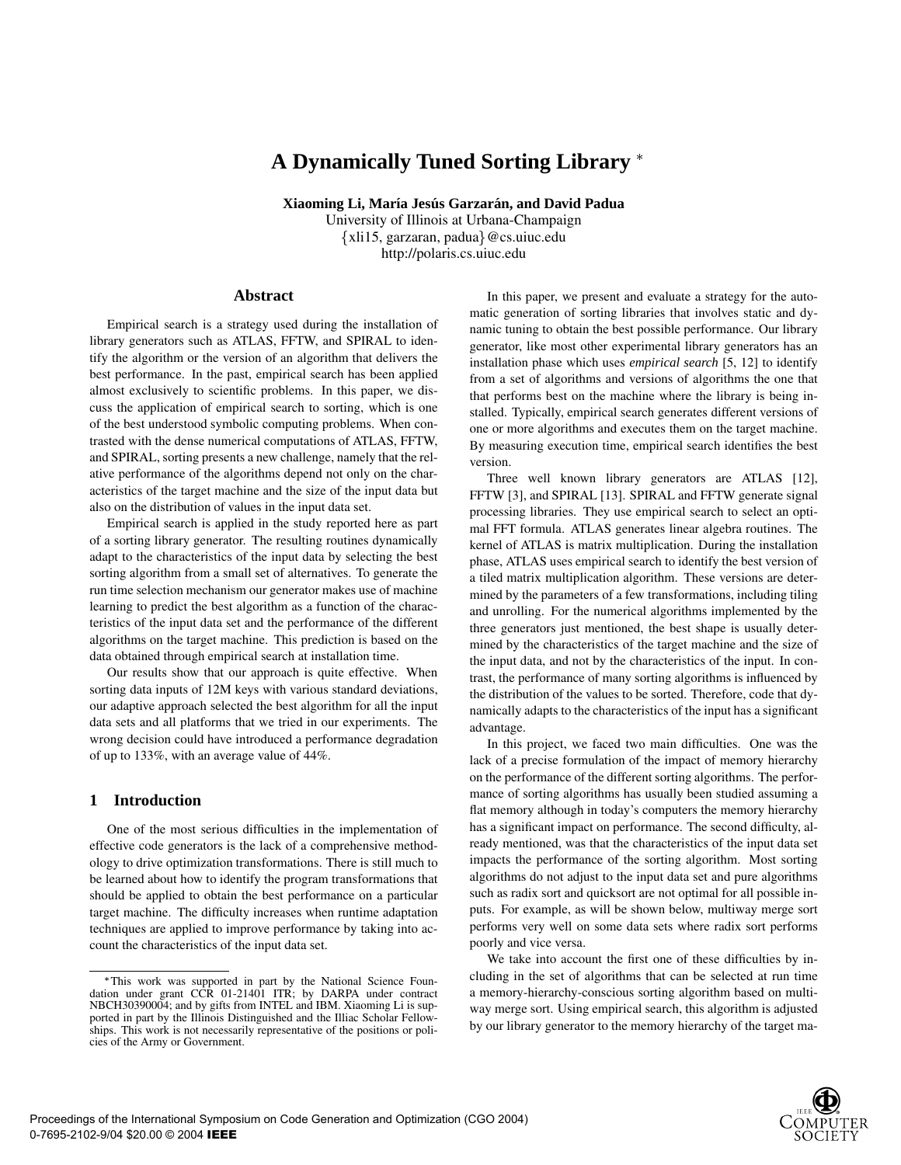# **A Dynamically Tuned Sorting Library**

 $X$ iaoming Li, María Jesús Garzarán, and David Padua

University of Illinois at Urbana-Champaign xli15, garzaran, padua-@cs.uiuc.edu http://polaris.cs.uiuc.edu

# **Abstract**

Empirical search is a strategy used during the installation of library generators such as ATLAS, FFTW, and SPIRAL to identify the algorithm or the version of an algorithm that delivers the best performance. In the past, empirical search has been applied almost exclusively to scientific problems. In this paper, we discuss the application of empirical search to sorting, which is one of the best understood symbolic computing problems. When contrasted with the dense numerical computations of ATLAS, FFTW, and SPIRAL, sorting presents a new challenge, namely that the relative performance of the algorithms depend not only on the characteristics of the target machine and the size of the input data but also on the distribution of values in the input data set.

Empirical search is applied in the study reported here as part of a sorting library generator. The resulting routines dynamically adapt to the characteristics of the input data by selecting the best sorting algorithm from a small set of alternatives. To generate the run time selection mechanism our generator makes use of machine learning to predict the best algorithm as a function of the characteristics of the input data set and the performance of the different algorithms on the target machine. This prediction is based on the data obtained through empirical search at installation time.

Our results show that our approach is quite effective. When sorting data inputs of 12M keys with various standard deviations, our adaptive approach selected the best algorithm for all the input data sets and all platforms that we tried in our experiments. The wrong decision could have introduced a performance degradation of up to 133%, with an average value of 44%.

# **1 Introduction**

One of the most serious difficulties in the implementation of effective code generators is the lack of a comprehensive methodology to drive optimization transformations. There is still much to be learned about how to identify the program transformations that should be applied to obtain the best performance on a particular target machine. The difficulty increases when runtime adaptation techniques are applied to improve performance by taking into account the characteristics of the input data set.

In this paper, we present and evaluate a strategy for the automatic generation of sorting libraries that involves static and dynamic tuning to obtain the best possible performance. Our library generator, like most other experimental library generators has an installation phase which uses *empirical search* [5, 12] to identify from a set of algorithms and versions of algorithms the one that that performs best on the machine where the library is being installed. Typically, empirical search generates different versions of one or more algorithms and executes them on the target machine. By measuring execution time, empirical search identifies the best version.

Three well known library generators are ATLAS [12], FFTW [3], and SPIRAL [13]. SPIRAL and FFTW generate signal processing libraries. They use empirical search to select an optimal FFT formula. ATLAS generates linear algebra routines. The kernel of ATLAS is matrix multiplication. During the installation phase, ATLAS uses empirical search to identify the best version of a tiled matrix multiplication algorithm. These versions are determined by the parameters of a few transformations, including tiling and unrolling. For the numerical algorithms implemented by the three generators just mentioned, the best shape is usually determined by the characteristics of the target machine and the size of the input data, and not by the characteristics of the input. In contrast, the performance of many sorting algorithms is influenced by the distribution of the values to be sorted. Therefore, code that dynamically adapts to the characteristics of the input has a significant advantage.

In this project, we faced two main difficulties. One was the lack of a precise formulation of the impact of memory hierarchy on the performance of the different sorting algorithms. The performance of sorting algorithms has usually been studied assuming a flat memory although in today's computers the memory hierarchy has a significant impact on performance. The second difficulty, already mentioned, was that the characteristics of the input data set impacts the performance of the sorting algorithm. Most sorting algorithms do not adjust to the input data set and pure algorithms such as radix sort and quicksort are not optimal for all possible inputs. For example, as will be shown below, multiway merge sort performs very well on some data sets where radix sort performs poorly and vice versa.

We take into account the first one of these difficulties by including in the set of algorithms that can be selected at run time a memory-hierarchy-conscious sorting algorithm based on multiway merge sort. Using empirical search, this algorithm is adjusted by our library generator to the memory hierarchy of the target ma-

This work was supported in part by the National Science Foundation under grant CCR 01-21401 ITR; by DARPA under contract NBCH30390004; and by gifts from INTEL and IBM. Xiaoming Li is supported in part by the Illinois Distinguished and the Illiac Scholar Fellowships. This work is not necessarily representative of the positions or policies of the Army or Government.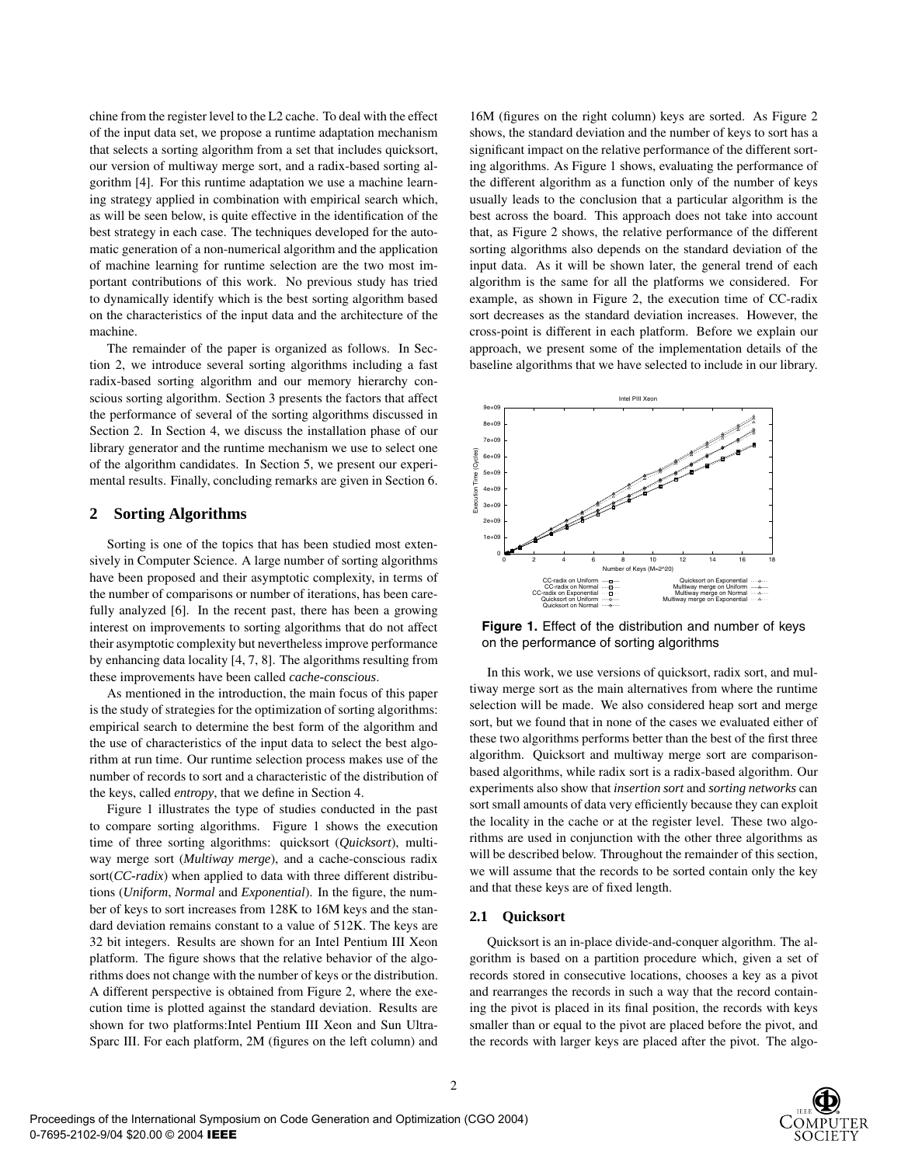chine from the register level to the L2 cache. To deal with the effect of the input data set, we propose a runtime adaptation mechanism that selects a sorting algorithm from a set that includes quicksort, our version of multiway merge sort, and a radix-based sorting algorithm [4]. For this runtime adaptation we use a machine learning strategy applied in combination with empirical search which, as will be seen below, is quite effective in the identification of the best strategy in each case. The techniques developed for the automatic generation of a non-numerical algorithm and the application of machine learning for runtime selection are the two most important contributions of this work. No previous study has tried to dynamically identify which is the best sorting algorithm based on the characteristics of the input data and the architecture of the machine.

The remainder of the paper is organized as follows. In Section 2, we introduce several sorting algorithms including a fast radix-based sorting algorithm and our memory hierarchy conscious sorting algorithm. Section 3 presents the factors that affect the performance of several of the sorting algorithms discussed in Section 2. In Section 4, we discuss the installation phase of our library generator and the runtime mechanism we use to select one of the algorithm candidates. In Section 5, we present our experimental results. Finally, concluding remarks are given in Section 6.

## **2 Sorting Algorithms**

Sorting is one of the topics that has been studied most extensively in Computer Science. A large number of sorting algorithms have been proposed and their asymptotic complexity, in terms of the number of comparisons or number of iterations, has been carefully analyzed [6]. In the recent past, there has been a growing interest on improvements to sorting algorithms that do not affect their asymptotic complexity but nevertheless improve performance by enhancing data locality [4, 7, 8]. The algorithms resulting from these improvements have been called *cache-conscious*.

As mentioned in the introduction, the main focus of this paper is the study of strategies for the optimization of sorting algorithms: empirical search to determine the best form of the algorithm and the use of characteristics of the input data to select the best algorithm at run time. Our runtime selection process makes use of the number of records to sort and a characteristic of the distribution of the keys, called *entropy*, that we define in Section 4.

Figure 1 illustrates the type of studies conducted in the past to compare sorting algorithms. Figure 1 shows the execution time of three sorting algorithms: quicksort (*Quicksort*), multiway merge sort (*Multiway merge*), and a cache-conscious radix sort(*CC-radix*) when applied to data with three different distributions (*Uniform*, *Normal* and *Exponential*). In the figure, the number of keys to sort increases from 128K to 16M keys and the standard deviation remains constant to a value of 512K. The keys are 32 bit integers. Results are shown for an Intel Pentium III Xeon platform. The figure shows that the relative behavior of the algorithms does not change with the number of keys or the distribution. A different perspective is obtained from Figure 2, where the execution time is plotted against the standard deviation. Results are shown for two platforms:Intel Pentium III Xeon and Sun Ultra-Sparc III. For each platform, 2M (figures on the left column) and

16M (figures on the right column) keys are sorted. As Figure 2 shows, the standard deviation and the number of keys to sort has a significant impact on the relative performance of the different sorting algorithms. As Figure 1 shows, evaluating the performance of the different algorithm as a function only of the number of keys usually leads to the conclusion that a particular algorithm is the best across the board. This approach does not take into account that, as Figure 2 shows, the relative performance of the different sorting algorithms also depends on the standard deviation of the input data. As it will be shown later, the general trend of each algorithm is the same for all the platforms we considered. For example, as shown in Figure 2, the execution time of CC-radix sort decreases as the standard deviation increases. However, the cross-point is different in each platform. Before we explain our approach, we present some of the implementation details of the baseline algorithms that we have selected to include in our library.



**Figure 1.** Effect of the distribution and number of keys on the performance of sorting algorithms

In this work, we use versions of quicksort, radix sort, and multiway merge sort as the main alternatives from where the runtime selection will be made. We also considered heap sort and merge sort, but we found that in none of the cases we evaluated either of these two algorithms performs better than the best of the first three algorithm. Quicksort and multiway merge sort are comparisonbased algorithms, while radix sort is a radix-based algorithm. Our experiments also show that *insertion sort* and *sorting networks* can sort small amounts of data very efficiently because they can exploit the locality in the cache or at the register level. These two algorithms are used in conjunction with the other three algorithms as will be described below. Throughout the remainder of this section, we will assume that the records to be sorted contain only the key and that these keys are of fixed length.

#### **2.1 Quicksort**

Quicksort is an in-place divide-and-conquer algorithm. The algorithm is based on a partition procedure which, given a set of records stored in consecutive locations, chooses a key as a pivot and rearranges the records in such a way that the record containing the pivot is placed in its final position, the records with keys smaller than or equal to the pivot are placed before the pivot, and the records with larger keys are placed after the pivot. The algo-

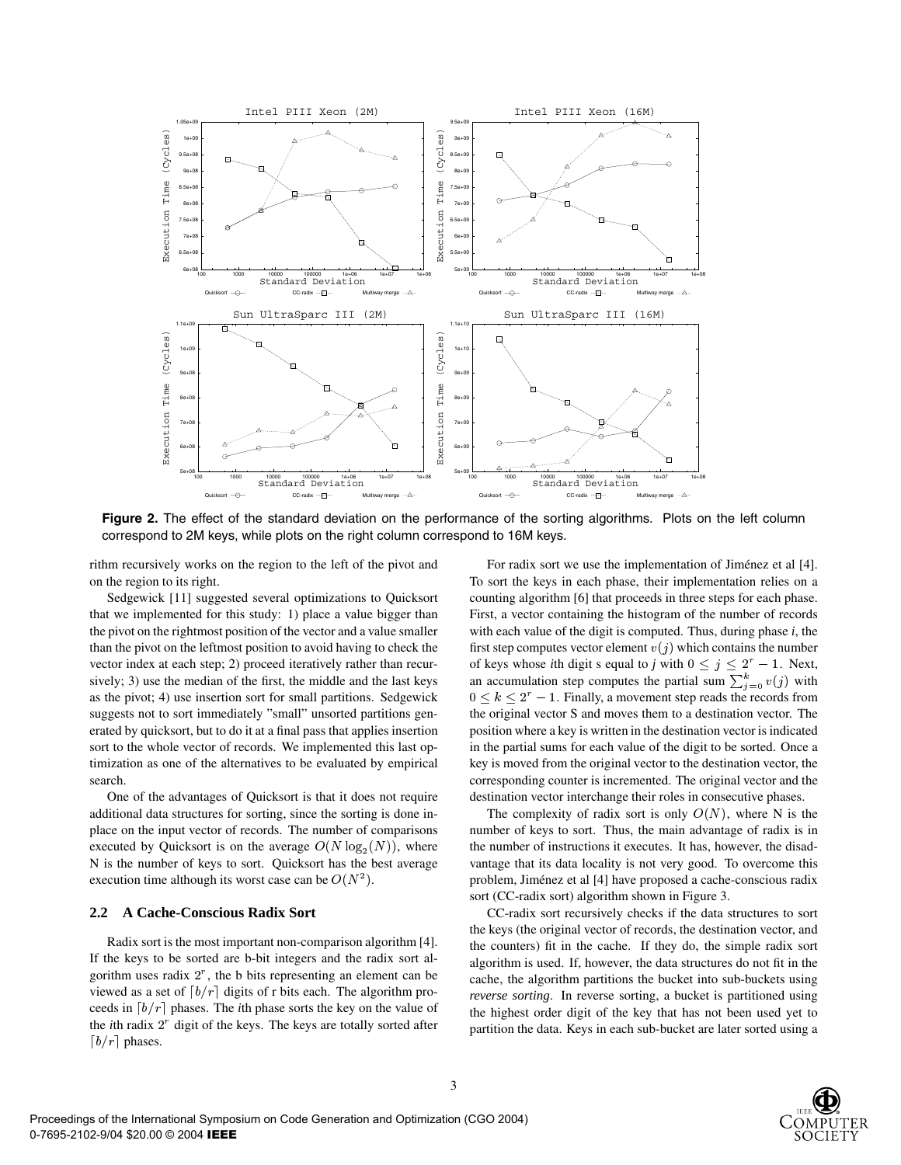

**Figure 2.** The effect of the standard deviation on the performance of the sorting algorithms. Plots on the left column correspond to 2M keys, while plots on the right column correspond to 16M keys.

rithm recursively works on the region to the left of the pivot and on the region to its right.

Sedgewick [11] suggested several optimizations to Quicksort that we implemented for this study: 1) place a value bigger than the pivot on the rightmost position of the vector and a value smaller than the pivot on the leftmost position to avoid having to check the vector index at each step; 2) proceed iteratively rather than recursively; 3) use the median of the first, the middle and the last keys as the pivot; 4) use insertion sort for small partitions. Sedgewick suggests not to sort immediately "small" unsorted partitions generated by quicksort, but to do it at a final pass that applies insertion sort to the whole vector of records. We implemented this last optimization as one of the alternatives to be evaluated by empirical search.

One of the advantages of Quicksort is that it does not require additional data structures for sorting, since the sorting is done inplace on the input vector of records. The number of comparisons executed by Quicksort is on the average  $O(N \log_2(N))$ , where the num N is the number of keys to sort. Quicksort has the best average execution time although its worst case can be  $O(N^2)$ .

## **2.2 A Cache-Conscious Radix Sort**

Radix sort is the most important non-comparison algorithm [4]. If the keys to be sorted are b-bit integers and the radix sort algorithm uses radix  $2<sup>r</sup>$ , the b bits representing an element can be viewed as a set of  $\lceil b/r \rceil$  digits of r bits each. The algorithm proceeds in  $\lceil b/r \rceil$  phases. The *i*th phase sorts the key on the value of the *i*th radix  $2<sup>r</sup>$  digit of the keys. The keys are totally sorted after  $\lceil b/r \rceil$  phases.

For radix sort we use the implementation of Jiménez et al [4]. To sort the keys in each phase, their implementation relies on a counting algorithm [6] that proceeds in three steps for each phase. First, a vector containing the histogram of the number of records with each value of the digit is computed. Thus, during phase *i*, the first step computes vector element  $v(j)$  which contains the number of keys whose *i*th digit s equal to *j* with  $0 \le j \le 2^r - 1$ . Next, an accumulation step computes the partial sum  $\sum_{j=0}^{k} v(j)$  with  $0 \leq k \leq 2^{r} - 1$ . Finally, a movement step reads the records from the original vector S and moves them to a destination vector. The position where a key is written in the destination vector is indicated in the partial sums for each value of the digit to be sorted. Once a key is moved from the original vector to the destination vector, the corresponding counter is incremented. The original vector and the destination vector interchange their roles in consecutive phases.

The complexity of radix sort is only  $O(N)$ , where N is the number of keys to sort. Thus, the main advantage of radix is in the number of instructions it executes. It has, however, the disadvantage that its data locality is not very good. To overcome this problem, Jiménez et al [4] have proposed a cache-conscious radix sort (CC-radix sort) algorithm shown in Figure 3.

CC-radix sort recursively checks if the data structures to sort the keys (the original vector of records, the destination vector, and the counters) fit in the cache. If they do, the simple radix sort algorithm is used. If, however, the data structures do not fit in the cache, the algorithm partitions the bucket into sub-buckets using *reverse sorting*. In reverse sorting, a bucket is partitioned using the highest order digit of the key that has not been used yet to partition the data. Keys in each sub-bucket are later sorted using a

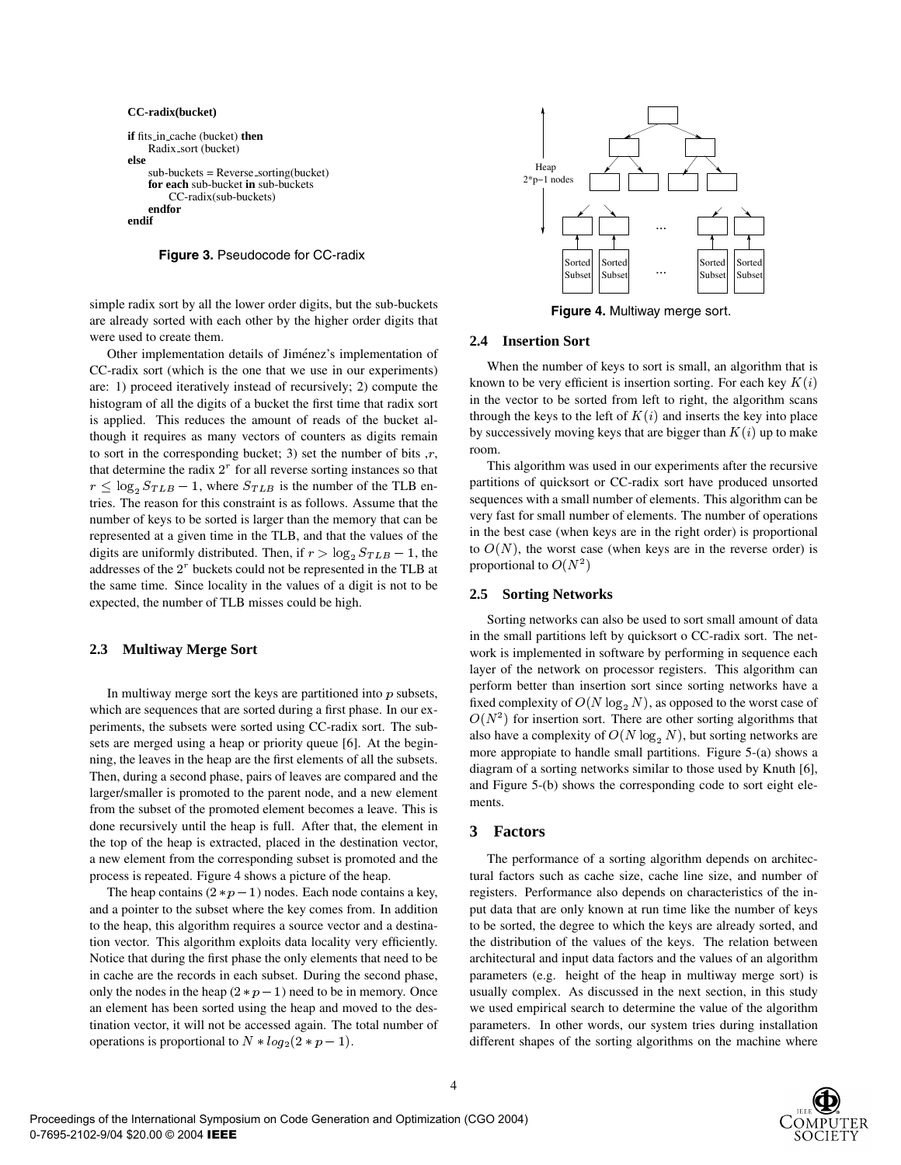#### **CC-radix(bucket)**

```
if fits in cache (bucket) then
    Radix sort (bucket)
else
    sub-buckets = Reverse sorting(bucket)
    for each sub-bucket in sub-buckets
        CC-radix(sub-buckets)
    endfor
endif
```
**Figure 3.** Pseudocode for CC-radix

simple radix sort by all the lower order digits, but the sub-buckets are already sorted with each other by the higher order digits that were used to create them.

Other implementation details of Jiménez's implementation of CC-radix sort (which is the one that we use in our experiments) are: 1) proceed iteratively instead of recursively; 2) compute the histogram of all the digits of a bucket the first time that radix sort is applied. This reduces the amount of reads of the bucket although it requires as many vectors of counters as digits remain to sort in the corresponding bucket; 3) set the number of bits  $,r$ , that determine the radix  $2<sup>r</sup>$  for all reverse sorting instances so that  $r \leq \log_2 S_{TLB} - 1$ , where  $S_{TLB}$  is the number of the TLB entries. The reason for this constraint is as follows. Assume that the number of keys to be sorted is larger than the memory that can be represented at a given time in the TLB, and that the values of the digits are uniformly distributed. Then, if  $r > \log_2 S_{TLB} - 1$ , the to  $O(N)$ , the wors addresses of the 2<sup>*r*</sup> buckets could not be represented in the TLB at the same time. Since locality in the values of a digit is not to be expected, the number of TLB misses could be high.

#### **2.3 Multiway Merge Sort**

In multiway merge sort the keys are partitioned into  $p$  subsets,  $\begin{bmatrix} p \text{cr} \\ \text{cr} \end{bmatrix}$ which are sequences that are sorted during a first phase. In our experiments, the subsets were sorted using CC-radix sort. The subsets are merged using a heap or priority queue [6]. At the beginning, the leaves in the heap are the first elements of all the subsets. Then, during a second phase, pairs of leaves are compared and the larger/smaller is promoted to the parent node, and a new element from the subset of the promoted element becomes a leave. This is done recursively until the heap is full. After that, the element in the top of the heap is extracted, placed in the destination vector, a new element from the corresponding subset is promoted and the process is repeated. Figure 4 shows a picture of the heap.

The heap contains  $(2 * p - 1)$  nodes. Each node contains a key, and a pointer to the subset where the key comes from. In addition to the heap, this algorithm requires a source vector and a destination vector. This algorithm exploits data locality very efficiently. Notice that during the first phase the only elements that need to be in cache are the records in each subset. During the second phase, only the nodes in the heap  $(2 * p - 1)$  need to be in memory. Once an element has been sorted using the heap and moved to the destination vector, it will not be accessed again. The total number of operations is proportional to  $N * log_2(2 * p - 1)$ .



**Figure 4.** Multiway merge sort.

## **2.4 Insertion Sort**

When the number of keys to sort is small, an algorithm that is known to be very efficient is insertion sorting. For each key  $K(i)$ in the vector to be sorted from left to right, the algorithm scans through the keys to the left of  $K(i)$  and inserts the key into place by successively moving keys that are bigger than  $K(i)$  up to make room.

This algorithm was used in our experiments after the recursive partitions of quicksort or CC-radix sort have produced unsorted sequences with a small number of elements. This algorithm can be very fast for small number of elements. The number of operations in the best case (when keys are in the right order) is proportional to  $O(N)$ , the worst case (when keys are in the reverse order) is proportional to  $O(N^2)$  $\mathbf{r}$ 

## **2.5 Sorting Networks**

Sorting networks can also be used to sort small amount of data in the small partitions left by quicksort o CC-radix sort. The network is implemented in software by performing in sequence each layer of the network on processor registers. This algorithm can perform better than insertion sort since sorting networks have a fixed complexity of  $O(N \log_2 N)$ , as opposed to the worst case of  $O(N^2)$  for insertion sort. There are other sorting algorithms that also have a complexity of  $O(N \log_2 N)$ , but sorting networks are more appropiate to handle small partitions. Figure 5-(a) shows a diagram of a sorting networks similar to those used by Knuth [6], and Figure 5-(b) shows the corresponding code to sort eight elements.

# **3 Factors**

 . different shapes of the sorting algorithms on the machine where The performance of a sorting algorithm depends on architectural factors such as cache size, cache line size, and number of registers. Performance also depends on characteristics of the input data that are only known at run time like the number of keys to be sorted, the degree to which the keys are already sorted, and the distribution of the values of the keys. The relation between architectural and input data factors and the values of an algorithm parameters (e.g. height of the heap in multiway merge sort) is usually complex. As discussed in the next section, in this study we used empirical search to determine the value of the algorithm parameters. In other words, our system tries during installation

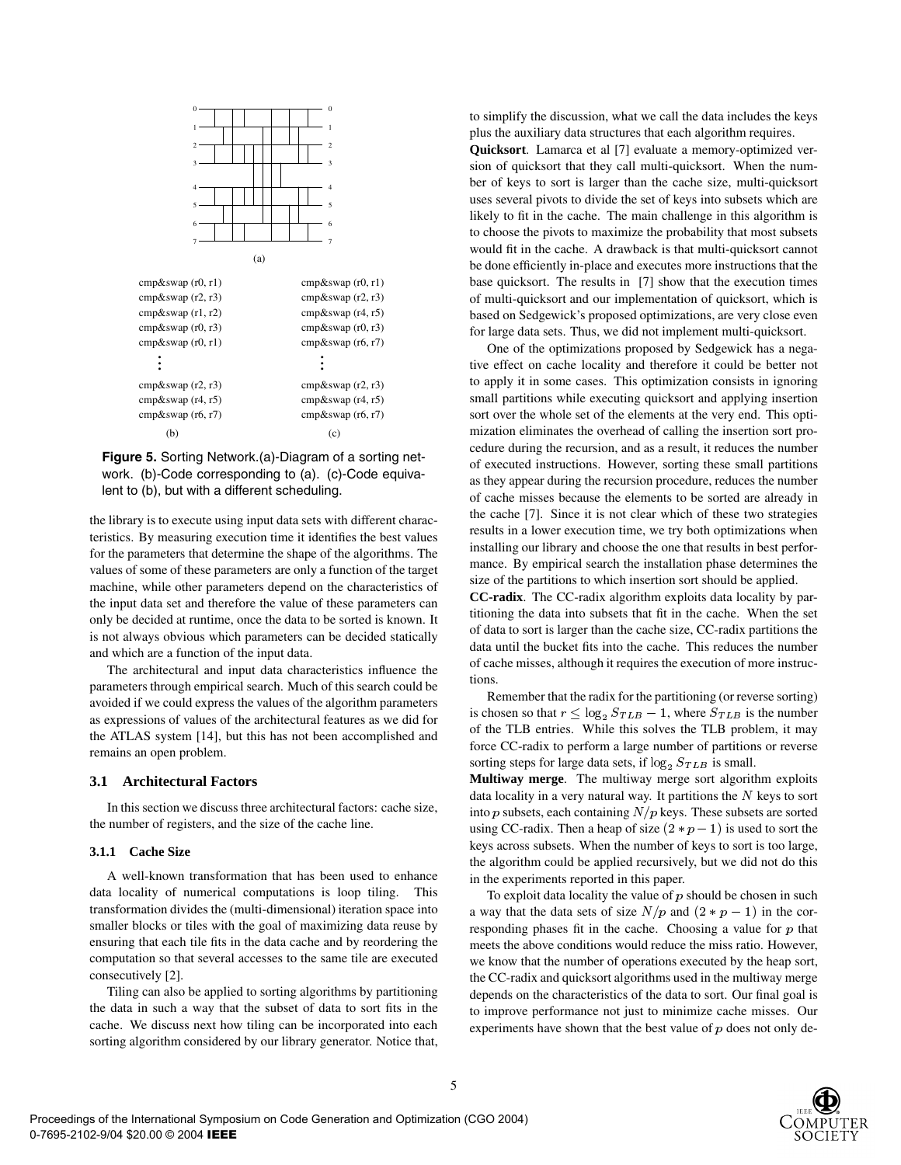

**Figure 5.** Sorting Network.(a)-Diagram of a sorting network. (b)-Code corresponding to (a). (c)-Code equivalent to (b), but with a different scheduling.

the library is to execute using input data sets with different characteristics. By measuring execution time it identifies the best values for the parameters that determine the shape of the algorithms. The values of some of these parameters are only a function of the target machine, while other parameters depend on the characteristics of the input data set and therefore the value of these parameters can only be decided at runtime, once the data to be sorted is known. It is not always obvious which parameters can be decided statically and which are a function of the input data.

The architectural and input data characteristics influence the parameters through empirical search. Much of this search could be avoided if we could express the values of the algorithm parameters as expressions of values of the architectural features as we did for the ATLAS system [14], but this has not been accomplished and remains an open problem.

#### **3.1 Architectural Factors**

In this section we discuss three architectural factors: cache size, the number of registers, and the size of the cache line.

## **3.1.1 Cache Size**

A well-known transformation that has been used to enhance data locality of numerical computations is loop tiling. This transformation divides the (multi-dimensional) iteration space into smaller blocks or tiles with the goal of maximizing data reuse by ensuring that each tile fits in the data cache and by reordering the computation so that several accesses to the same tile are executed consecutively [2].

Tiling can also be applied to sorting algorithms by partitioning the data in such a way that the subset of data to sort fits in the cache. We discuss next how tiling can be incorporated into each sorting algorithm considered by our library generator. Notice that,

to simplify the discussion, what we call the data includes the keys plus the auxiliary data structures that each algorithm requires.

**Quicksort**. Lamarca et al [7] evaluate a memory-optimized version of quicksort that they call multi-quicksort. When the number of keys to sort is larger than the cache size, multi-quicksort uses several pivots to divide the set of keys into subsets which are likely to fit in the cache. The main challenge in this algorithm is to choose the pivots to maximize the probability that most subsets would fit in the cache. A drawback is that multi-quicksort cannot be done efficiently in-place and executes more instructions that the base quicksort. The results in [7] show that the execution times of multi-quicksort and our implementation of quicksort, which is based on Sedgewick's proposed optimizations, are very close even for large data sets. Thus, we did not implement multi-quicksort.

One of the optimizations proposed by Sedgewick has a negative effect on cache locality and therefore it could be better not to apply it in some cases. This optimization consists in ignoring small partitions while executing quicksort and applying insertion sort over the whole set of the elements at the very end. This optimization eliminates the overhead of calling the insertion sort procedure during the recursion, and as a result, it reduces the number of executed instructions. However, sorting these small partitions as they appear during the recursion procedure, reduces the number of cache misses because the elements to be sorted are already in the cache [7]. Since it is not clear which of these two strategies results in a lower execution time, we try both optimizations when installing our library and choose the one that results in best performance. By empirical search the installation phase determines the size of the partitions to which insertion sort should be applied.

**CC-radix**. The CC-radix algorithm exploits data locality by partitioning the data into subsets that fit in the cache. When the set of data to sort is larger than the cache size, CC-radix partitions the data until the bucket fits into the cache. This reduces the number of cache misses, although it requires the execution of more instructions.

Remember that the radix for the partitioning (or reverse sorting) is chosen so that  $r \leq \log_2 S_{TLB} - 1$ , where  $S_{TLB}$  is the number of the TLB entries. While this solves the TLB problem, it may force CC-radix to perform a large number of partitions or reverse sorting steps for large data sets, if  $\log_2 S_{TLB}$  is small.

**Multiway merge**. The multiway merge sort algorithm exploits data locality in a very natural way. It partitions the  $N$  keys to sort into  $p$  subsets, each containing  $N/p$  keys. These subsets are sorted using CC-radix. Then a heap of size  $(2 * p - 1)$  is used to sort the keys across subsets. When the number of keys to sort is too large, the algorithm could be applied recursively, but we did not do this in the experiments reported in this paper.

To exploit data locality the value of  $p$  should be chosen in such a way that the data sets of size  $N/p$  and  $(2 * p - 1)$  in the corresponding phases fit in the cache. Choosing a value for  $p$  that meets the above conditions would reduce the miss ratio. However, we know that the number of operations executed by the heap sort, the CC-radix and quicksort algorithms used in the multiway merge depends on the characteristics of the data to sort. Our final goal is to improve performance not just to minimize cache misses. Our experiments have shown that the best value of  $p$  does not only de-

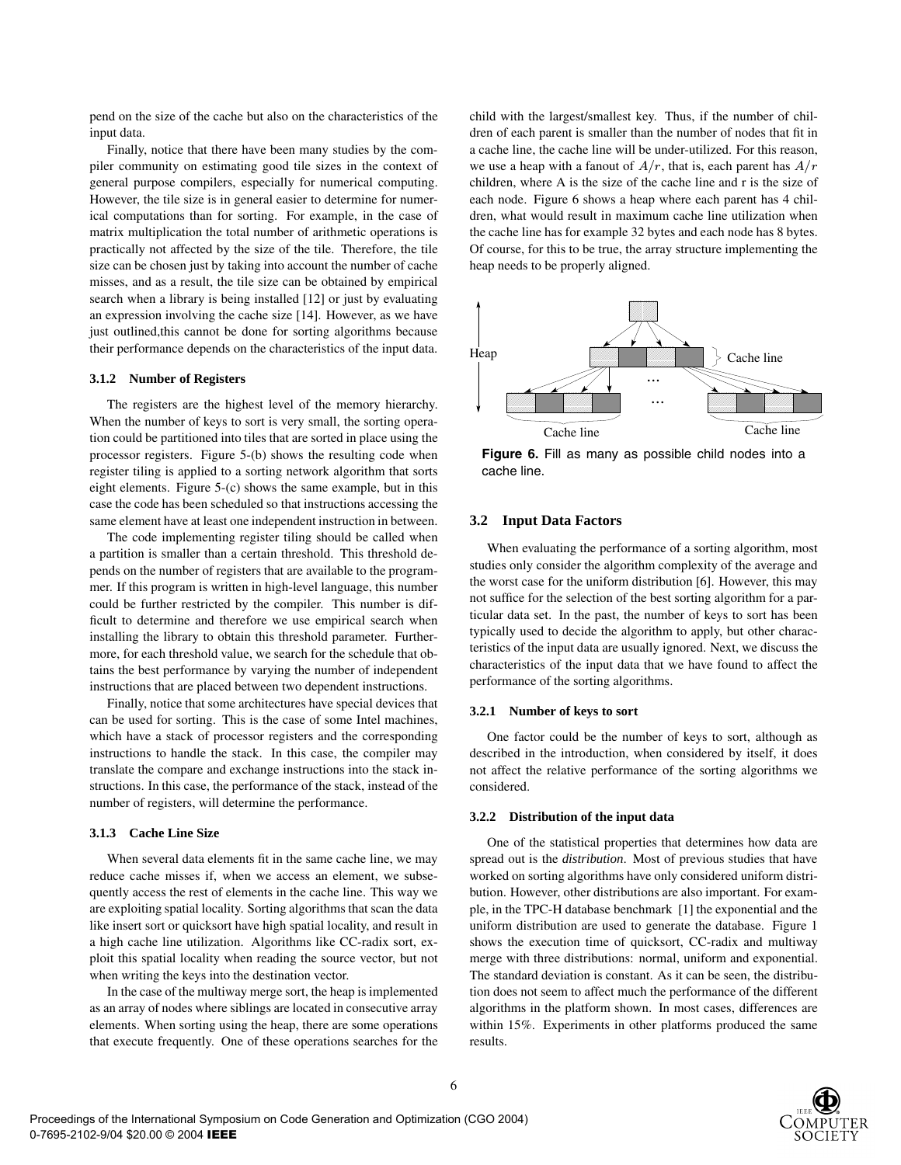pend on the size of the cache but also on the characteristics of the input data.

Finally, notice that there have been many studies by the compiler community on estimating good tile sizes in the context of general purpose compilers, especially for numerical computing. However, the tile size is in general easier to determine for numerical computations than for sorting. For example, in the case of matrix multiplication the total number of arithmetic operations is practically not affected by the size of the tile. Therefore, the tile size can be chosen just by taking into account the number of cache misses, and as a result, the tile size can be obtained by empirical search when a library is being installed [12] or just by evaluating an expression involving the cache size [14]. However, as we have just outlined,this cannot be done for sorting algorithms because their performance depends on the characteristics of the input data.

#### **3.1.2 Number of Registers**

The registers are the highest level of the memory hierarchy. When the number of keys to sort is very small, the sorting operation could be partitioned into tiles that are sorted in place using the processor registers. Figure 5-(b) shows the resulting code when register tiling is applied to a sorting network algorithm that sorts eight elements. Figure 5-(c) shows the same example, but in this case the code has been scheduled so that instructions accessing the same element have at least one independent instruction in between.

The code implementing register tiling should be called when a partition is smaller than a certain threshold. This threshold depends on the number of registers that are available to the programmer. If this program is written in high-level language, this number could be further restricted by the compiler. This number is difficult to determine and therefore we use empirical search when installing the library to obtain this threshold parameter. Furthermore, for each threshold value, we search for the schedule that obtains the best performance by varying the number of independent instructions that are placed between two dependent instructions.

Finally, notice that some architectures have special devices that can be used for sorting. This is the case of some Intel machines, which have a stack of processor registers and the corresponding instructions to handle the stack. In this case, the compiler may translate the compare and exchange instructions into the stack instructions. In this case, the performance of the stack, instead of the number of registers, will determine the performance.

#### **3.1.3 Cache Line Size**

When several data elements fit in the same cache line, we may reduce cache misses if, when we access an element, we subsequently access the rest of elements in the cache line. This way we are exploiting spatial locality. Sorting algorithms that scan the data like insert sort or quicksort have high spatial locality, and result in a high cache line utilization. Algorithms like CC-radix sort, exploit this spatial locality when reading the source vector, but not when writing the keys into the destination vector.

In the case of the multiway merge sort, the heap is implemented as an array of nodes where siblings are located in consecutive array elements. When sorting using the heap, there are some operations that execute frequently. One of these operations searches for the

child with the largest/smallest key. Thus, if the number of children of each parent is smaller than the number of nodes that fit in a cache line, the cache line will be under-utilized. For this reason, we use a heap with a fanout of  $A/r$ , that is, each parent has  $A/r$ children, where A is the size of the cache line and r is the size of each node. Figure 6 shows a heap where each parent has 4 children, what would result in maximum cache line utilization when the cache line has for example 32 bytes and each node has 8 bytes. Of course, for this to be true, the array structure implementing the heap needs to be properly aligned.



**Figure 6.** Fill as many as possible child nodes into a cache line.

#### **3.2 Input Data Factors**

When evaluating the performance of a sorting algorithm, most studies only consider the algorithm complexity of the average and the worst case for the uniform distribution [6]. However, this may not suffice for the selection of the best sorting algorithm for a particular data set. In the past, the number of keys to sort has been typically used to decide the algorithm to apply, but other characteristics of the input data are usually ignored. Next, we discuss the characteristics of the input data that we have found to affect the performance of the sorting algorithms.

#### **3.2.1 Number of keys to sort**

One factor could be the number of keys to sort, although as described in the introduction, when considered by itself, it does not affect the relative performance of the sorting algorithms we considered.

## **3.2.2 Distribution of the input data**

One of the statistical properties that determines how data are spread out is the *distribution*. Most of previous studies that have worked on sorting algorithms have only considered uniform distribution. However, other distributions are also important. For example, in the TPC-H database benchmark [1] the exponential and the uniform distribution are used to generate the database. Figure 1 shows the execution time of quicksort, CC-radix and multiway merge with three distributions: normal, uniform and exponential. The standard deviation is constant. As it can be seen, the distribution does not seem to affect much the performance of the different algorithms in the platform shown. In most cases, differences are within 15%. Experiments in other platforms produced the same results.

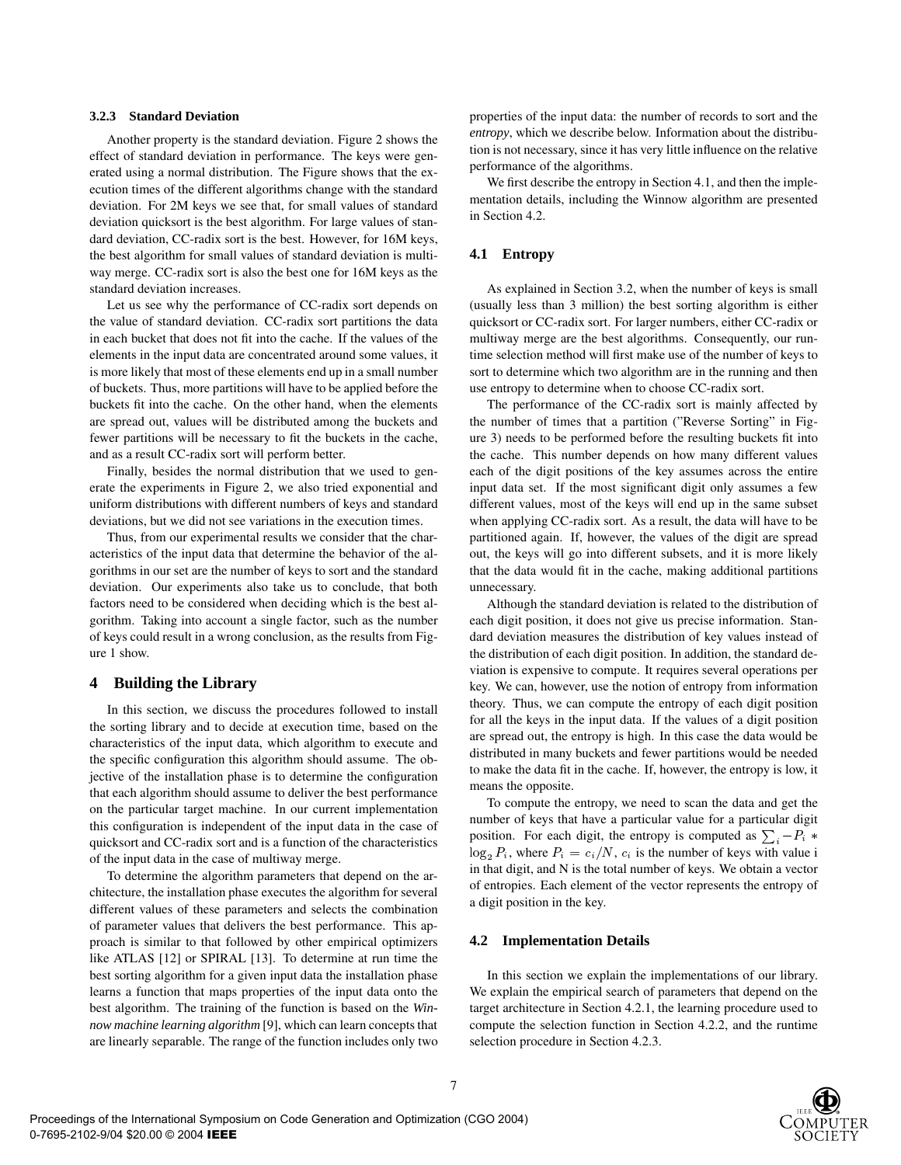#### **3.2.3 Standard Deviation**

Another property is the standard deviation. Figure 2 shows the effect of standard deviation in performance. The keys were generated using a normal distribution. The Figure shows that the execution times of the different algorithms change with the standard deviation. For 2M keys we see that, for small values of standard deviation quicksort is the best algorithm. For large values of standard deviation, CC-radix sort is the best. However, for 16M keys, the best algorithm for small values of standard deviation is multiway merge. CC-radix sort is also the best one for 16M keys as the standard deviation increases.

Let us see why the performance of CC-radix sort depends on the value of standard deviation. CC-radix sort partitions the data in each bucket that does not fit into the cache. If the values of the elements in the input data are concentrated around some values, it is more likely that most of these elements end up in a small number of buckets. Thus, more partitions will have to be applied before the buckets fit into the cache. On the other hand, when the elements are spread out, values will be distributed among the buckets and fewer partitions will be necessary to fit the buckets in the cache, and as a result CC-radix sort will perform better.

Finally, besides the normal distribution that we used to generate the experiments in Figure 2, we also tried exponential and uniform distributions with different numbers of keys and standard deviations, but we did not see variations in the execution times.

Thus, from our experimental results we consider that the characteristics of the input data that determine the behavior of the algorithms in our set are the number of keys to sort and the standard deviation. Our experiments also take us to conclude, that both factors need to be considered when deciding which is the best algorithm. Taking into account a single factor, such as the number of keys could result in a wrong conclusion, as the results from Figure 1 show.

## **4 Building the Library**

In this section, we discuss the procedures followed to install the sorting library and to decide at execution time, based on the characteristics of the input data, which algorithm to execute and the specific configuration this algorithm should assume. The objective of the installation phase is to determine the configuration that each algorithm should assume to deliver the best performance on the particular target machine. In our current implementation this configuration is independent of the input data in the case of quicksort and CC-radix sort and is a function of the characteristics of the input data in the case of multiway merge.

To determine the algorithm parameters that depend on the architecture, the installation phase executes the algorithm for several different values of these parameters and selects the combination of parameter values that delivers the best performance. This approach is similar to that followed by other empirical optimizers like ATLAS [12] or SPIRAL [13]. To determine at run time the best sorting algorithm for a given input data the installation phase learns a function that maps properties of the input data onto the best algorithm. The training of the function is based on the *Winnow machine learning algorithm* [9], which can learn concepts that are linearly separable. The range of the function includes only two properties of the input data: the number of records to sort and the *entropy*, which we describe below. Information about the distribution is not necessary, since it has very little influence on the relative performance of the algorithms.

We first describe the entropy in Section 4.1, and then the implementation details, including the Winnow algorithm are presented in Section 4.2.

# **4.1 Entropy**

As explained in Section 3.2, when the number of keys is small (usually less than 3 million) the best sorting algorithm is either quicksort or CC-radix sort. For larger numbers, either CC-radix or multiway merge are the best algorithms. Consequently, our runtime selection method will first make use of the number of keys to sort to determine which two algorithm are in the running and then use entropy to determine when to choose CC-radix sort.

The performance of the CC-radix sort is mainly affected by the number of times that a partition ("Reverse Sorting" in Figure 3) needs to be performed before the resulting buckets fit into the cache. This number depends on how many different values each of the digit positions of the key assumes across the entire input data set. If the most significant digit only assumes a few different values, most of the keys will end up in the same subset when applying CC-radix sort. As a result, the data will have to be partitioned again. If, however, the values of the digit are spread out, the keys will go into different subsets, and it is more likely that the data would fit in the cache, making additional partitions unnecessary.

Although the standard deviation is related to the distribution of each digit position, it does not give us precise information. Standard deviation measures the distribution of key values instead of the distribution of each digit position. In addition, the standard deviation is expensive to compute. It requires several operations per key. We can, however, use the notion of entropy from information theory. Thus, we can compute the entropy of each digit position for all the keys in the input data. If the values of a digit position are spread out, the entropy is high. In this case the data would be distributed in many buckets and fewer partitions would be needed to make the data fit in the cache. If, however, the entropy is low, it means the opposite.

To compute the entropy, we need to scan the data and get the number of keys that have a particular value for a particular digit position. For each digit, the entropy is computed as  $\sum_i -P_i$  \*  $\log_2 P_i$ , where  $P_i = c_i/N$ ,  $c_i$  is the number of keys with value i in that digit, and N is the total number of keys. We obtain a vector of entropies. Each element of the vector represents the entropy of a digit position in the key.

## **4.2 Implementation Details**

In this section we explain the implementations of our library. We explain the empirical search of parameters that depend on the target architecture in Section 4.2.1, the learning procedure used to compute the selection function in Section 4.2.2, and the runtime selection procedure in Section 4.2.3.

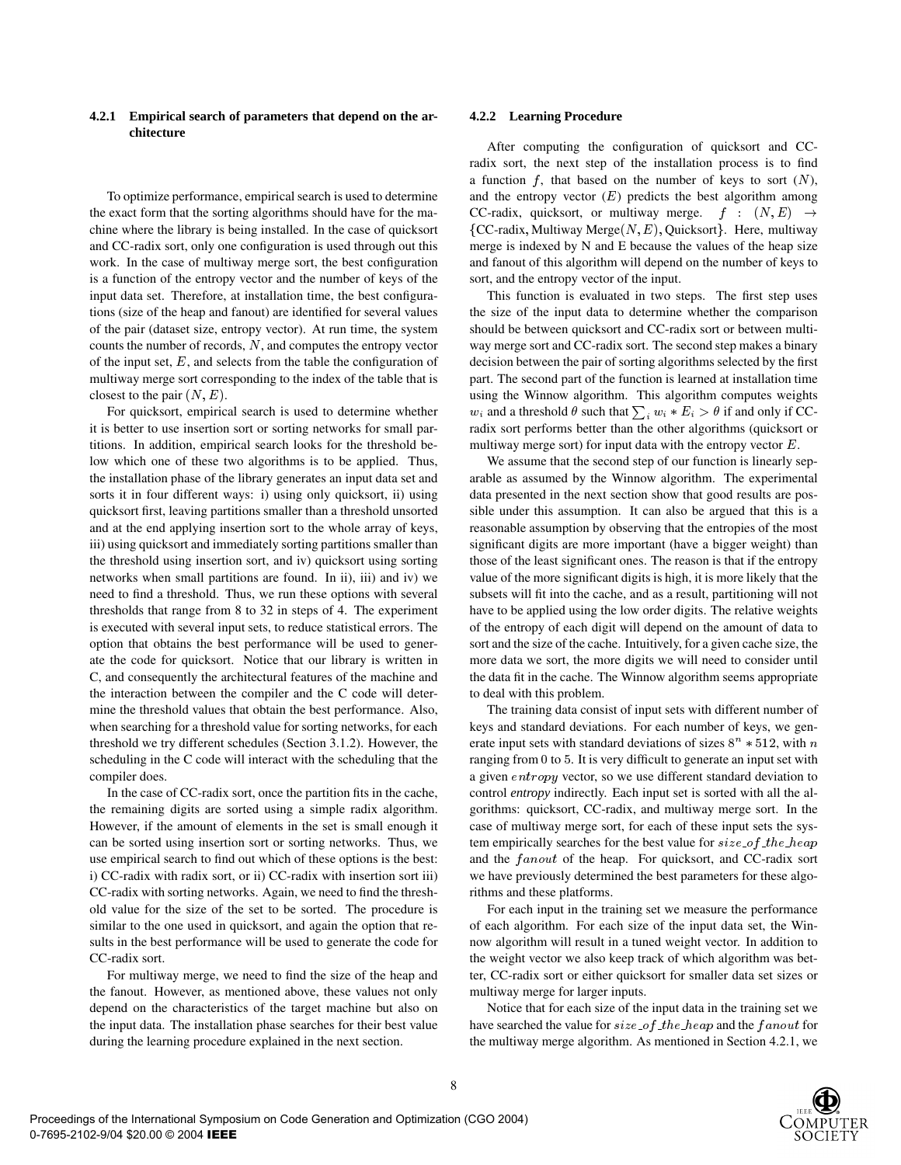## **4.2.1 Empirical search of parameters that depend on the architecture**

To optimize performance, empirical search is used to determine the exact form that the sorting algorithms should have for the machine where the library is being installed. In the case of quicksort and CC-radix sort, only one configuration is used through out this work. In the case of multiway merge sort, the best configuration is a function of the entropy vector and the number of keys of the input data set. Therefore, at installation time, the best configurations (size of the heap and fanout) are identified for several values of the pair (dataset size, entropy vector). At run time, the system counts the number of records,  $N$ , and computes the entropy vector of the input set,  $E$ , and selects from the table the configuration of multiway merge sort corresponding to the index of the table that is closest to the pair  $(N, E)$ .

For quicksort, empirical search is used to determine whether it is better to use insertion sort or sorting networks for small partitions. In addition, empirical search looks for the threshold below which one of these two algorithms is to be applied. Thus, the installation phase of the library generates an input data set and sorts it in four different ways: i) using only quicksort, ii) using quicksort first, leaving partitions smaller than a threshold unsorted and at the end applying insertion sort to the whole array of keys, iii) using quicksort and immediately sorting partitions smaller than the threshold using insertion sort, and iv) quicksort using sorting networks when small partitions are found. In ii), iii) and iv) we need to find a threshold. Thus, we run these options with several thresholds that range from 8 to 32 in steps of 4. The experiment is executed with several input sets, to reduce statistical errors. The option that obtains the best performance will be used to generate the code for quicksort. Notice that our library is written in C, and consequently the architectural features of the machine and the interaction between the compiler and the C code will determine the threshold values that obtain the best performance. Also, when searching for a threshold value for sorting networks, for each threshold we try different schedules (Section 3.1.2). However, the scheduling in the C code will interact with the scheduling that the compiler does.

In the case of CC-radix sort, once the partition fits in the cache, the remaining digits are sorted using a simple radix algorithm. However, if the amount of elements in the set is small enough it can be sorted using insertion sort or sorting networks. Thus, we use empirical search to find out which of these options is the best: i) CC-radix with radix sort, or ii) CC-radix with insertion sort iii) CC-radix with sorting networks. Again, we need to find the threshold value for the size of the set to be sorted. The procedure is similar to the one used in quicksort, and again the option that results in the best performance will be used to generate the code for CC-radix sort.

For multiway merge, we need to find the size of the heap and the fanout. However, as mentioned above, these values not only depend on the characteristics of the target machine but also on the input data. The installation phase searches for their best value during the learning procedure explained in the next section.

#### **4.2.2 Learning Procedure**

After computing the configuration of quicksort and CCradix sort, the next step of the installation process is to find a function  $f$ , that based on the number of keys to sort  $(N)$ , and the entropy vector  $(E)$  predicts the best algorithm among CC-radix, quicksort, or multiway merge.  $f : (N, E) \rightarrow$  ${CC-}$ radix, Multiway Merge $(N, E)$ , Quicksort. Here, multiway merge is indexed by N and E because the values of the heap size and fanout of this algorithm will depend on the number of keys to sort, and the entropy vector of the input.

This function is evaluated in two steps. The first step uses the size of the input data to determine whether the comparison should be between quicksort and CC-radix sort or between multiway merge sort and CC-radix sort. The second step makes a binary decision between the pair of sorting algorithms selected by the first part. The second part of the function is learned at installation time using the Winnow algorithm. This algorithm computes weights  $w_i$  and a threshold  $\theta$  such that  $\sum_i w_i * E_i > \theta$  if and only if CCradix sort performs better than the other algorithms (quicksort or multiway merge sort) for input data with the entropy vector  $E$ .

We assume that the second step of our function is linearly separable as assumed by the Winnow algorithm. The experimental data presented in the next section show that good results are possible under this assumption. It can also be argued that this is a reasonable assumption by observing that the entropies of the most significant digits are more important (have a bigger weight) than those of the least significant ones. The reason is that if the entropy value of the more significant digits is high, it is more likely that the subsets will fit into the cache, and as a result, partitioning will not have to be applied using the low order digits. The relative weights of the entropy of each digit will depend on the amount of data to sort and the size of the cache. Intuitively, for a given cache size, the more data we sort, the more digits we will need to consider until the data fit in the cache. The Winnow algorithm seems appropriate to deal with this problem.

The training data consist of input sets with different number of keys and standard deviations. For each number of keys, we generate input sets with standard deviations of sizes  $8^n * 512$ , with n ranging from  $0$  to  $5$ . It is very difficult to generate an input set with a given entropy vector, so we use different standard deviation to control *entropy* indirectly. Each input set is sorted with all the algorithms: quicksort, CC-radix, and multiway merge sort. In the case of multiway merge sort, for each of these input sets the system empirically searches for the best value for  $size\_of\_the\_heap$ and the  $fanout$  of the heap. For quicksort, and CC-radix sort we have previously determined the best parameters for these algorithms and these platforms.

For each input in the training set we measure the performance of each algorithm. For each size of the input data set, the Winnow algorithm will result in a tuned weight vector. In addition to the weight vector we also keep track of which algorithm was better, CC-radix sort or either quicksort for smaller data set sizes or multiway merge for larger inputs.

Notice that for each size of the input data in the training set we have searched the value for  $size\_of\_the\_heap$  and the  $fanout$  for the multiway merge algorithm. As mentioned in Section 4.2.1, we

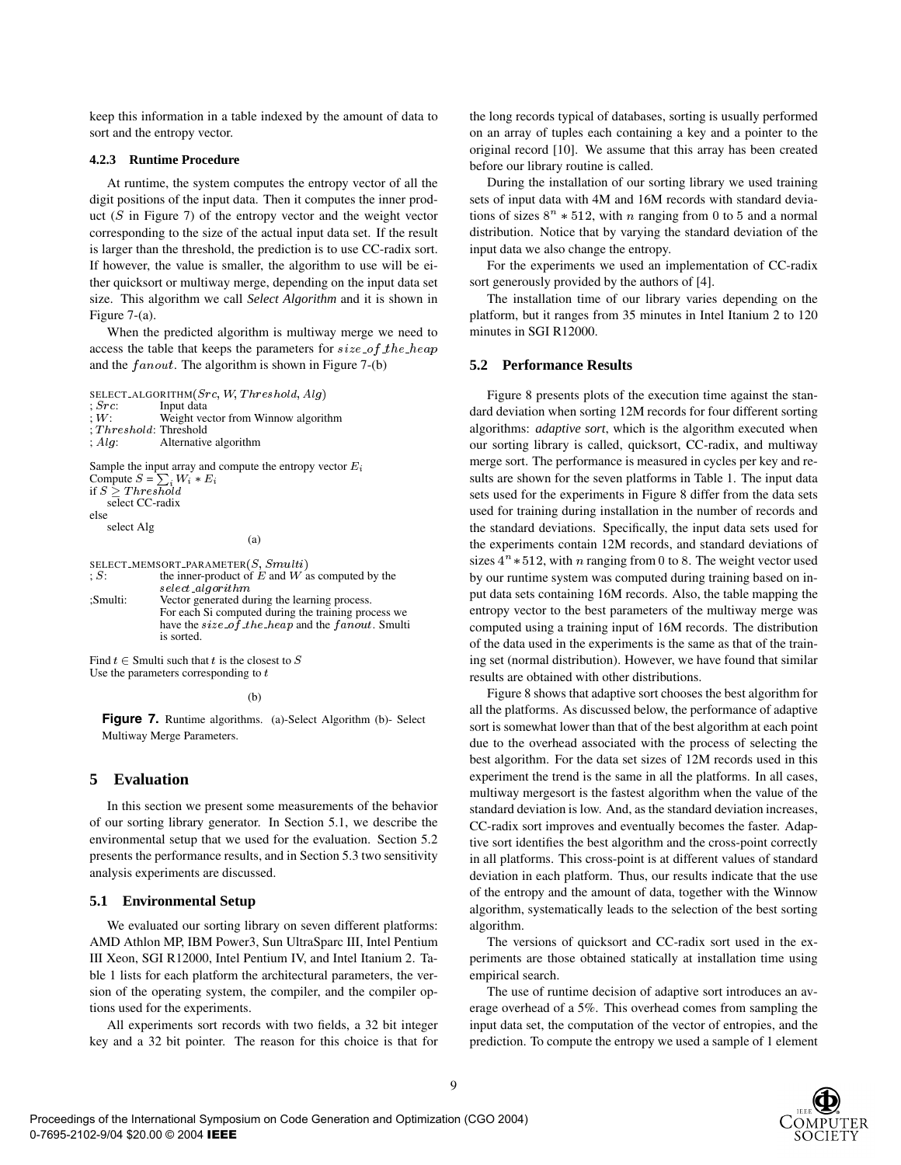keep this information in a table indexed by the amount of data to sort and the entropy vector.

### **4.2.3 Runtime Procedure**

At runtime, the system computes the entropy vector of all the digit positions of the input data. Then it computes the inner product  $(S$  in Figure 7) of the entropy vector and the weight vector corresponding to the size of the actual input data set. If the result is larger than the threshold, the prediction is to use CC-radix sort. If however, the value is smaller, the algorithm to use will be either quicksort or multiway merge, depending on the input data set size. This algorithm we call *Select Algorithm* and it is shown in Figure 7-(a).

When the predicted algorithm is multiway merge we need to access the table that keeps the parameters for  $size\_of\_the\_heap$ and the  $fanout$ . The algorithm is shown in Figure 7-(b)

```
\texttt{SELECT}\_\texttt{ALGORITHM}(\mathit{Src}, W, Threshold, Alg); Src:<br>: W:Input data
             Weight vector from Winnow algorithm
; Threshold: Threshold
; Alg:
: Alternative algorithm
Sample the input array and compute the entropy vector E_iCompute S = \sum_i W_i * E_iif S \geq Threethick
   select CC-radix
else
   select Alg
                               (a)
SELECT_MEMSORT_PARAMETER(S, Smallt); S: the inner-product of E and W as computed by the
              the contract of the contract of the contract of the contract of the contract of the contract of the contract o
;Smulti: Vector generated during the learning process.
             For each Si computed during the training process we
             have the size\_of\_the\_heap and the fanout. Smulti
```
Find  $t \in$  Smulti such that t is the closest to S Use the parameters corresponding to  $t$ 

is sorted.

#### (b)

**Figure 7.** Runtime algorithms. (a)-Select Algorithm (b)- Select Multiway Merge Parameters.

# **5 Evaluation**

In this section we present some measurements of the behavior of our sorting library generator. In Section 5.1, we describe the environmental setup that we used for the evaluation. Section 5.2 presents the performance results, and in Section 5.3 two sensitivity analysis experiments are discussed.

#### **5.1 Environmental Setup**

We evaluated our sorting library on seven different platforms: AMD Athlon MP, IBM Power3, Sun UltraSparc III, Intel Pentium III Xeon, SGI R12000, Intel Pentium IV, and Intel Itanium 2. Table 1 lists for each platform the architectural parameters, the version of the operating system, the compiler, and the compiler options used for the experiments.

All experiments sort records with two fields, a 32 bit integer key and a 32 bit pointer. The reason for this choice is that for

the long records typical of databases, sorting is usually performed on an array of tuples each containing a key and a pointer to the original record [10]. We assume that this array has been created before our library routine is called.

During the installation of our sorting library we used training sets of input data with 4M and 16M records with standard deviations of sizes  $8^n * 512$ , with *n* ranging from 0 to 5 and a normal distribution. Notice that by varying the standard deviation of the input data we also change the entropy.

For the experiments we used an implementation of CC-radix sort generously provided by the authors of [4].

The installation time of our library varies depending on the platform, but it ranges from 35 minutes in Intel Itanium 2 to 120 minutes in SGI R12000.

## **5.2 Performance Results**

Figure 8 presents plots of the execution time against the standard deviation when sorting 12M records for four different sorting algorithms: *adaptive sort*, which is the algorithm executed when our sorting library is called, quicksort, CC-radix, and multiway merge sort. The performance is measured in cycles per key and results are shown for the seven platforms in Table 1. The input data sets used for the experiments in Figure 8 differ from the data sets used for training during installation in the number of records and the standard deviations. Specifically, the input data sets used for the experiments contain 12M records, and standard deviations of sizes  $4^n * 512$ , with *n* ranging from 0 to 8. The weight vector used by our runtime system was computed during training based on input data sets containing 16M records. Also, the table mapping the entropy vector to the best parameters of the multiway merge was computed using a training input of 16M records. The distribution of the data used in the experiments is the same as that of the training set (normal distribution). However, we have found that similar results are obtained with other distributions.

Figure 8 shows that adaptive sort chooses the best algorithm for all the platforms. As discussed below, the performance of adaptive sort is somewhat lower than that of the best algorithm at each point due to the overhead associated with the process of selecting the best algorithm. For the data set sizes of 12M records used in this experiment the trend is the same in all the platforms. In all cases, multiway mergesort is the fastest algorithm when the value of the standard deviation is low. And, as the standard deviation increases, CC-radix sort improves and eventually becomes the faster. Adaptive sort identifies the best algorithm and the cross-point correctly in all platforms. This cross-point is at different values of standard deviation in each platform. Thus, our results indicate that the use of the entropy and the amount of data, together with the Winnow algorithm, systematically leads to the selection of the best sorting algorithm.

The versions of quicksort and CC-radix sort used in the experiments are those obtained statically at installation time using empirical search.

The use of runtime decision of adaptive sort introduces an average overhead of a 5%. This overhead comes from sampling the input data set, the computation of the vector of entropies, and the prediction. To compute the entropy we used a sample of 1 element

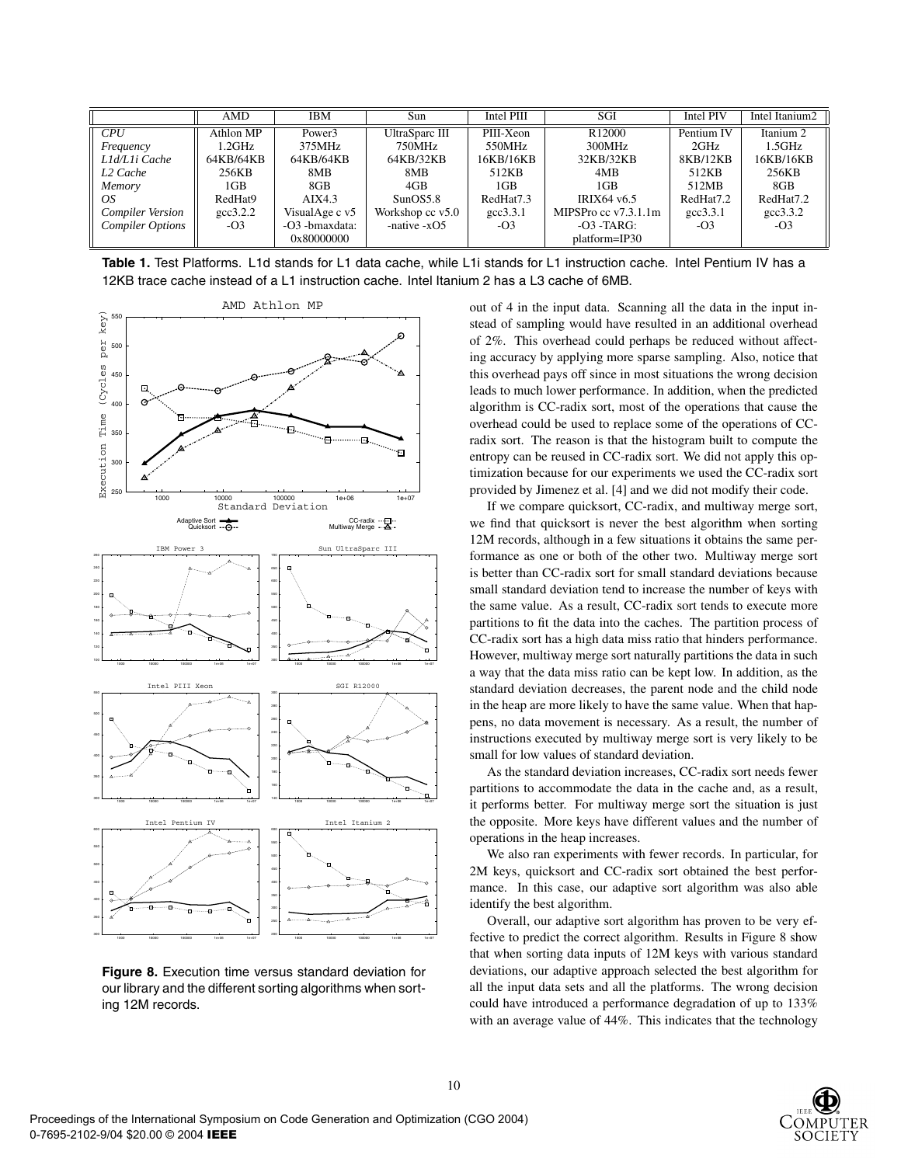|                         | AMD               | IBM            | Sun              | Intel PIII      | SGI                    | Intel PIV     | Intel Itanium <sub>2</sub> |
|-------------------------|-------------------|----------------|------------------|-----------------|------------------------|---------------|----------------------------|
| CPU                     | Athlon MP         | Power3         | UltraSparc III   | PIII-Xeon       | R <sub>12000</sub>     | Pentium IV    | Itanium 2                  |
| Frequency               | 1.2GHz            | 375MHz         | 750MHz           | 550MHz          | 300MHz                 | 2GHz          | 1.5GHz                     |
| L1d/L1i Cache           | 64KB/64KB         | 64KB/64KB      | 64KB/32KB        | 16KB/16KB       | 32KB/32KB              | 8KB/12KB      | 16KB/16KB                  |
| L <sub>2</sub> Cache    | 256KB             | 8MB            | 8MB              | 512KB           | 4MB                    | 512KB         | 256KB                      |
| Memory                  | $1$ GB            | 8GB            | 4GB              | 1 <sub>GB</sub> | 1GB                    | 512MB         | 8GB                        |
| ΟS                      | RedHat9           | AIX4.3         | SunOS5.8         | RedHat7.3       | IRIX64 v6.5            | RedHat7.2     | RedHat7.2                  |
| <b>Compiler Version</b> | $\text{gcc}3.2.2$ | VisualAge c v5 | Workshop cc v5.0 | $\gcd(3.3.1)$   | MIPSPro cc $v7.3.1.1m$ | $\gcd(3.3.1)$ | $\text{gcc}3.3.2$          |
| <b>Compiler Options</b> | $-O3$             | -O3 -bmaxdata: | -native $-xO5$   | $-O3$           | $-O3$ -TARG:           | $-O3$         | $-O3$                      |
|                         |                   | 0x80000000     |                  |                 | platform=IP30          |               |                            |

| Table 1. Test Platforms. L1d stands for L1 data cache, while L1i stands for L1 instruction cache. Intel Pentium IV has a |  |  |  |  |
|--------------------------------------------------------------------------------------------------------------------------|--|--|--|--|
| 12KB trace cache instead of a L1 instruction cache. Intel Itanium 2 has a L3 cache of 6MB.                               |  |  |  |  |



**Figure 8.** Execution time versus standard deviation for our library and the different sorting algorithms when sorting 12M records.

out of 4 in the input data. Scanning all the data in the input instead of sampling would have resulted in an additional overhead of 2%. This overhead could perhaps be reduced without affecting accuracy by applying more sparse sampling. Also, notice that this overhead pays off since in most situations the wrong decision leads to much lower performance. In addition, when the predicted algorithm is CC-radix sort, most of the operations that cause the overhead could be used to replace some of the operations of CCradix sort. The reason is that the histogram built to compute the entropy can be reused in CC-radix sort. We did not apply this optimization because for our experiments we used the CC-radix sort provided by Jimenez et al. [4] and we did not modify their code.

If we compare quicksort, CC-radix, and multiway merge sort, we find that quicksort is never the best algorithm when sorting 12M records, although in a few situations it obtains the same performance as one or both of the other two. Multiway merge sort is better than CC-radix sort for small standard deviations because small standard deviation tend to increase the number of keys with the same value. As a result, CC-radix sort tends to execute more partitions to fit the data into the caches. The partition process of CC-radix sort has a high data miss ratio that hinders performance. However, multiway merge sort naturally partitions the data in such a way that the data miss ratio can be kept low. In addition, as the standard deviation decreases, the parent node and the child node in the heap are more likely to have the same value. When that happens, no data movement is necessary. As a result, the number of instructions executed by multiway merge sort is very likely to be small for low values of standard deviation.

As the standard deviation increases, CC-radix sort needs fewer partitions to accommodate the data in the cache and, as a result, it performs better. For multiway merge sort the situation is just the opposite. More keys have different values and the number of operations in the heap increases.

We also ran experiments with fewer records. In particular, for 2M keys, quicksort and CC-radix sort obtained the best performance. In this case, our adaptive sort algorithm was also able identify the best algorithm.

Overall, our adaptive sort algorithm has proven to be very effective to predict the correct algorithm. Results in Figure 8 show that when sorting data inputs of 12M keys with various standard deviations, our adaptive approach selected the best algorithm for all the input data sets and all the platforms. The wrong decision could have introduced a performance degradation of up to 133% with an average value of 44%. This indicates that the technology

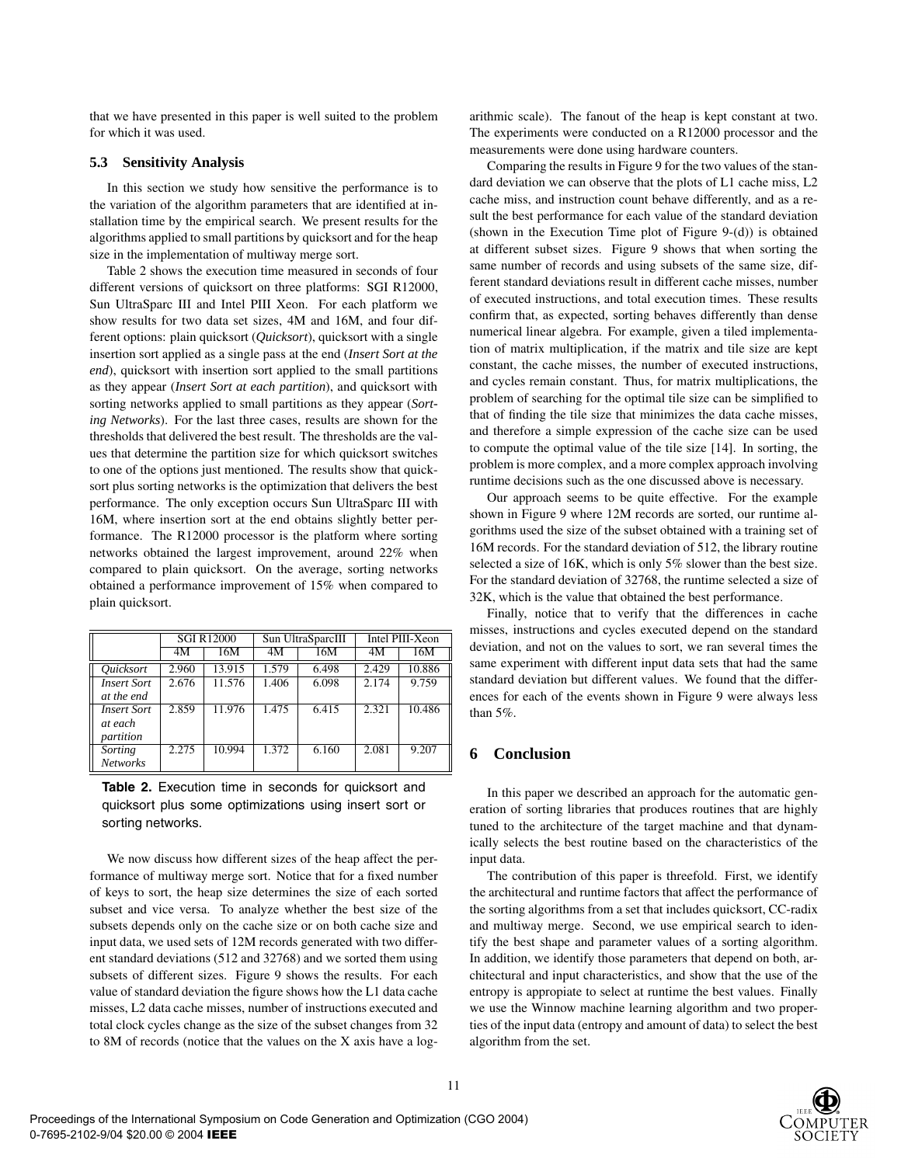that we have presented in this paper is well suited to the problem for which it was used.

## **5.3 Sensitivity Analysis**

In this section we study how sensitive the performance is to the variation of the algorithm parameters that are identified at installation time by the empirical search. We present results for the algorithms applied to small partitions by quicksort and for the heap size in the implementation of multiway merge sort.

Table 2 shows the execution time measured in seconds of four different versions of quicksort on three platforms: SGI R12000, Sun UltraSparc III and Intel PIII Xeon. For each platform we show results for two data set sizes, 4M and 16M, and four different options: plain quicksort (*Quicksort*), quicksort with a single insertion sort applied as a single pass at the end (*Insert Sort at the end*), quicksort with insertion sort applied to the small partitions as they appear (*Insert Sort at each partition*), and quicksort with sorting networks applied to small partitions as they appear (*Sorting Networks*). For the last three cases, results are shown for the thresholds that delivered the best result. The thresholds are the values that determine the partition size for which quicksort switches to one of the options just mentioned. The results show that quicksort plus sorting networks is the optimization that delivers the best performance. The only exception occurs Sun UltraSparc III with 16M, where insertion sort at the end obtains slightly better performance. The R12000 processor is the platform where sorting networks obtained the largest improvement, around 22% when compared to plain quicksort. On the average, sorting networks obtained a performance improvement of 15% when compared to plain quicksort.

|                         | <b>SGI R12000</b> |        | Sun UltraSparcIII |       | Intel PIII-Xeon |        |
|-------------------------|-------------------|--------|-------------------|-------|-----------------|--------|
|                         | 4M                | 16M    | 4M                | 16M   | 4M              | 16M    |
| <i><b>Ouicksort</b></i> | 2.960             | 13.915 | 1.579             | 6.498 | 2.429           | 10.886 |
| <b>Insert Sort</b>      | 2.676             | 11.576 | 1.406             | 6.098 | 2.174           | 9.759  |
| at the end              |                   |        |                   |       |                 |        |
| <b>Insert Sort</b>      | 2.859             | 11.976 | 1.475             | 6.415 | 2.321           | 10.486 |
| at each                 |                   |        |                   |       |                 |        |
| partition               |                   |        |                   |       |                 |        |
| Sorting                 | 2.275             | 10.994 | 1.372             | 6.160 | 2.081           | 9.207  |
| <b>Networks</b>         |                   |        |                   |       |                 |        |

**Table 2.** Execution time in seconds for quicksort and quicksort plus some optimizations using insert sort or sorting networks.

We now discuss how different sizes of the heap affect the performance of multiway merge sort. Notice that for a fixed number of keys to sort, the heap size determines the size of each sorted subset and vice versa. To analyze whether the best size of the subsets depends only on the cache size or on both cache size and input data, we used sets of 12M records generated with two different standard deviations (512 and 32768) and we sorted them using subsets of different sizes. Figure 9 shows the results. For each value of standard deviation the figure shows how the L1 data cache misses, L2 data cache misses, number of instructions executed and total clock cycles change as the size of the subset changes from 32 to 8M of records (notice that the values on the X axis have a logarithmic scale). The fanout of the heap is kept constant at two. The experiments were conducted on a R12000 processor and the measurements were done using hardware counters.

Comparing the results in Figure 9 for the two values of the standard deviation we can observe that the plots of L1 cache miss, L2 cache miss, and instruction count behave differently, and as a result the best performance for each value of the standard deviation (shown in the Execution Time plot of Figure 9-(d)) is obtained at different subset sizes. Figure 9 shows that when sorting the same number of records and using subsets of the same size, different standard deviations result in different cache misses, number of executed instructions, and total execution times. These results confirm that, as expected, sorting behaves differently than dense numerical linear algebra. For example, given a tiled implementation of matrix multiplication, if the matrix and tile size are kept constant, the cache misses, the number of executed instructions, and cycles remain constant. Thus, for matrix multiplications, the problem of searching for the optimal tile size can be simplified to that of finding the tile size that minimizes the data cache misses, and therefore a simple expression of the cache size can be used to compute the optimal value of the tile size [14]. In sorting, the problem is more complex, and a more complex approach involving runtime decisions such as the one discussed above is necessary.

Our approach seems to be quite effective. For the example shown in Figure 9 where 12M records are sorted, our runtime algorithms used the size of the subset obtained with a training set of 16M records. For the standard deviation of 512, the library routine selected a size of 16K, which is only 5% slower than the best size. For the standard deviation of 32768, the runtime selected a size of 32K, which is the value that obtained the best performance.

Finally, notice that to verify that the differences in cache misses, instructions and cycles executed depend on the standard deviation, and not on the values to sort, we ran several times the same experiment with different input data sets that had the same standard deviation but different values. We found that the differences for each of the events shown in Figure 9 were always less than 5%.

# **6 Conclusion**

In this paper we described an approach for the automatic generation of sorting libraries that produces routines that are highly tuned to the architecture of the target machine and that dynamically selects the best routine based on the characteristics of the input data.

The contribution of this paper is threefold. First, we identify the architectural and runtime factors that affect the performance of the sorting algorithms from a set that includes quicksort, CC-radix and multiway merge. Second, we use empirical search to identify the best shape and parameter values of a sorting algorithm. In addition, we identify those parameters that depend on both, architectural and input characteristics, and show that the use of the entropy is appropiate to select at runtime the best values. Finally we use the Winnow machine learning algorithm and two properties of the input data (entropy and amount of data) to select the best algorithm from the set.